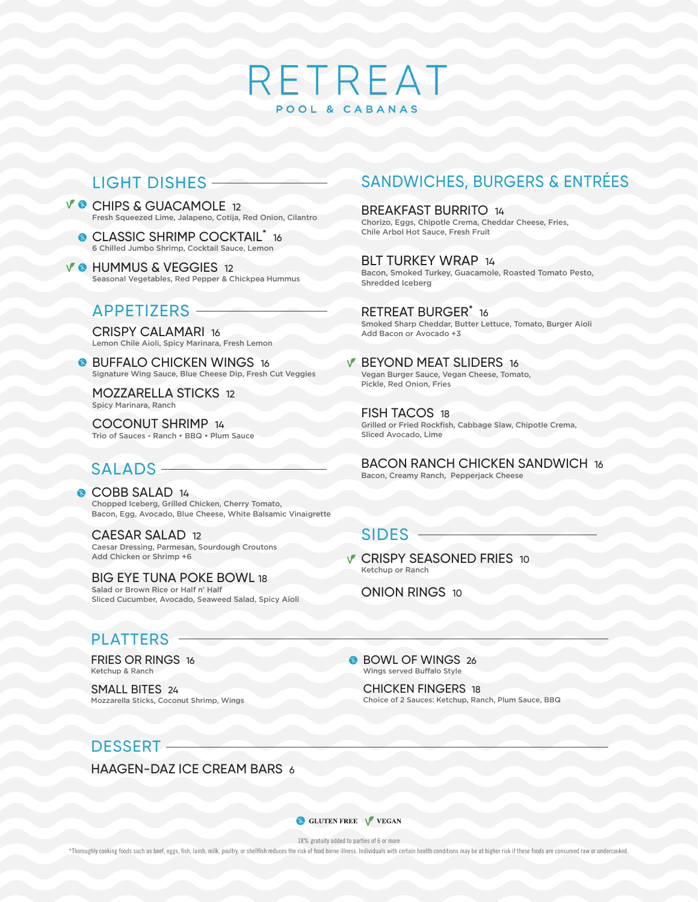# RETREAT POOL & CABANAS

## LIGHT DISHES

- V CHIPS & GUACAMOLE 12 Fresh Squeezed Lime, Jalapeno, Cotija, Red Onion, Cilantro
	- CLASSIC SHRIMP COCKTAIL<sup>\*</sup> 16 6 Chilled Jumbo Shrimp, Cocktail Sauce, Lemon
- **V @ HUMMUS & VEGGIES 12** Seasonal Vegetables, Red Pepper & Chickpea Hummus

#### APPETIZERS

CRISPY CALAMARI 16 Lemon Chile Aioli, Spicy Marinara, Fresh Lemon

**BUFFALO CHICKEN WINGS 16** Signature Wing Sauce, Blue Cheese Dip, Fresh Cut Veggies

MOZZARELLA STICKS 12 Spicy Marinara, Ranch

COCONUT SHRIMP 14 Trio of Sauces - Ranch • BBQ • Plum Sauce

## SALADS -

COBB SALAD 14 Chopped Iceberg, Grilled Chicken, Cherry Tomato, Bacon, Egg, Avocado, Blue Cheese, White Balsamic Vinaigrette

CAESAR SALAD 12 Caesar Dressing, Parmesan, Sourdough Croutons Add Chicken or Shrimp +6

BIG EYE TUNA POKE BOWL 18 Salad or Brown Rice or Half n' Half Sliced Cucumber, Avocado, Seaweed Salad, Spicy Aioli

#### **PLATTERS**

FRIES OR RINGS 16 Ketchup & Ranch

SMALL BITES 24 Mozzarella Sticks, Coconut Shrimp, Wings

#### DESSERT

HAAGEN-DAZ ICE CREAM BARS 6

# SANDWICHES, BURGERS & ENTRÉES

BREAKFAST BURRITO 14 Chorizo, Eggs, Chipotle Crema, Cheddar Cheese, Fries, Chile Arbol Hot Sauce, Fresh Fruit

BLT TURKEY WRAP 14 Bacon, Smoked Turkey, Guacamole, Roasted Tomato Pesto, Shredded Iceberg

RETREAT BURGER<sup>\*</sup> 16 Smoked Sharp Cheddar, Butter Lettuce, Tomato, Burger Aioli Add Bacon or Avocado +3

#### **V BEYOND MEAT SLIDERS 16** Vegan Burger Sauce, Vegan Cheese, Tomato, Pickle, Red Onion, Fries

FISH TACOS 18 Grilled or Fried Rockfish, Cabbage Slaw, Chipotle Crema, Sliced Avocado, Lime

BACON RANCH CHICKEN SANDWICH 16 Bacon, Creamy Ranch, Pepperjack Cheese

### SIDES

**V CRISPY SEASONED FRIES 10** Ketchup or Ranch

ONION RINGS 10

BOWL OF WINGS 26 Wings served Buffalo Style

> CHICKEN FINGERS 18 Choice of 2 Sauces: Ketchup, Ranch, Plum Sauce, BBQ

**CLUTEN FREE** V VEGAN

18% gratuity added to parties of 6 or more

\*Thoroughly cooking foods such as beef, eggs, fish, lamb, milk, poultry, or shellfish reduces the risk of food borne illness. Individuals with certain health conditions may be at higher risk if these foods are consumed raw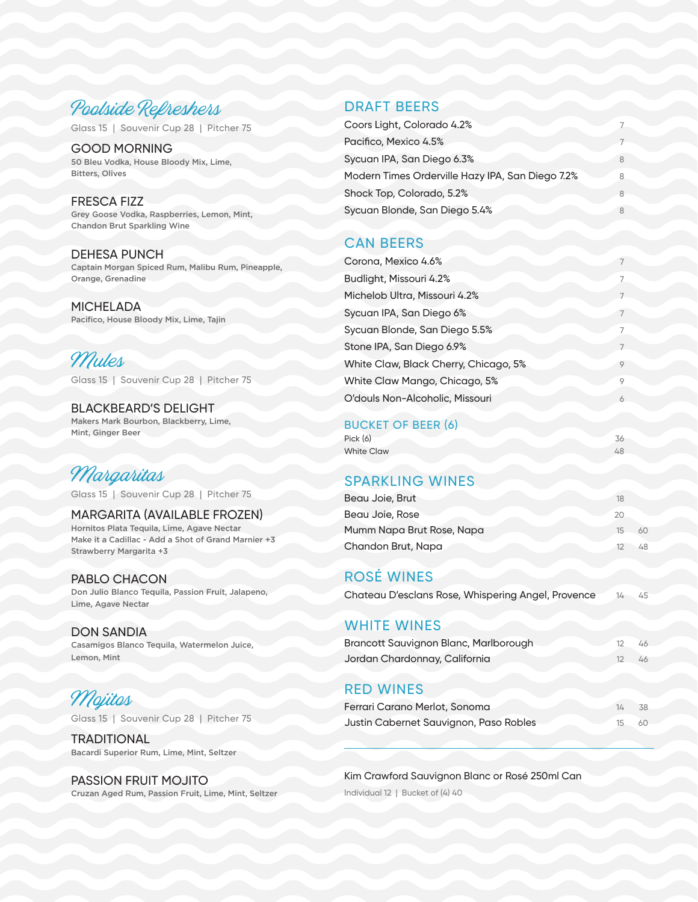

Glass 15 | Souvenir Cup 28 | Pitcher 75

GOOD MORNING 50 Bleu Vodka, House Bloody Mix, Lime, Bitters, Olives

FRESCA FIZZ Grey Goose Vodka, Raspberries, Lemon, Mint, Chandon Brut Sparkling Wine

DEHESA PUNCH Captain Morgan Spiced Rum, Malibu Rum, Pineapple, Orange, Grenadine

**MICHELADA** Pacifico, House Bloody Mix, Lime, Tajin

Mules Glass 15 | Souvenir Cup 28 | Pitcher 75

BLACKBEARD'S DELIGHT Makers Mark Bourbon, Blackberry, Lime, Mint, Ginger Beer

# Margaritas

Glass 15 | Souvenir Cup 28 | Pitcher 75

MARGARITA (AVAILABLE FROZEN) Hornitos Plata Tequila, Lime, Agave Nectar Make it a Cadillac - Add a Shot of Grand Marnier +3 Strawberry Margarita +3

#### PABLO CHACON Don Julio Blanco Tequila, Passion Fruit, Jalapeno, Lime, Agave Nectar

DON SANDIA Casamigos Blanco Tequila, Watermelon Juice, Lemon, Mint

#### Mojitos Glass 15 | Souvenir Cup 28 | Pitcher 75

**TRADITIONAL** Bacardi Superior Rum, Lime, Mint, Seltzer

#### PASSION FRUIT MOJITO Cruzan Aged Rum, Passion Fruit, Lime, Mint, Seltzer

#### DRAFT BEERS

| Coors Light, Colorado 4.2%                       |   |
|--------------------------------------------------|---|
| Pacifico, Mexico 4.5%                            |   |
| Sycuan IPA, San Diego 6.3%                       | 8 |
| Modern Times Orderville Hazy IPA, San Diego 7.2% | 8 |
| Shock Top, Colorado, 5.2%                        | 8 |
| Sycuan Blonde, San Diego 5.4%                    |   |

#### CAN BEERS

| Corona, Mexico 4.6%                   |                |
|---------------------------------------|----------------|
| Budlight, Missouri 4.2%               | 7              |
| Michelob Ultra, Missouri 4.2%         |                |
| Sycuan IPA, San Diego 6%              | $\overline{7}$ |
| Sycuan Blonde, San Diego 5.5%         | 7              |
| Stone IPA, San Diego 6.9%             |                |
| White Claw, Black Cherry, Chicago, 5% | 9              |
| White Claw Mango, Chicago, 5%         | 9              |
| O'douls Non-Alcoholic, Missouri       | 6              |
|                                       |                |

#### BUCKET OF BEER (6)

| Pick (6)          |  |  |
|-------------------|--|--|
| <b>White Claw</b> |  |  |

### SPARKLING WINES

| Beau Joie, Brut           | 18       |  |
|---------------------------|----------|--|
| Beau Joie, Rose           | 20       |  |
| Mumm Napa Brut Rose, Napa | 15<br>60 |  |
| Chandon Brut, Napa        |          |  |

### ROSÉ WINES

#### WHITE WINES

| Brancott Sauvignon Blanc, Marlborough |  |
|---------------------------------------|--|
| Jordan Chardonnay, California         |  |

#### RED WINES

| Ferrari Carano Merlot, Sonoma          | 1/2 | - 38 |
|----------------------------------------|-----|------|
| Justin Cabernet Sauvignon, Paso Robles | 15. | - 60 |

Kim Crawford Sauvignon Blanc or Rosé 250ml Can Individual 12 | Bucket of (4) 40